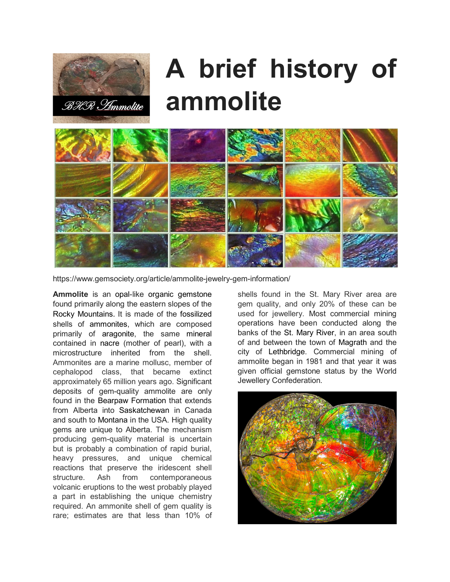

## **A brief history of ammolite**



https://www.gemsociety.org/article/ammolite-jewelry-gem-information/

**Ammolite** is an [opal-](https://en.wikipedia.org/wiki/Opal)like [organic gemstone](https://en.wikipedia.org/wiki/Organic_gemstone) found primarily along the eastern slopes of the [Rocky Mountains](https://en.wikipedia.org/wiki/Rocky_Mountains). It is made of the [fossilized](https://en.wikipedia.org/wiki/Fossil) shells of [ammonites,](https://en.wikipedia.org/wiki/Ammonite) which are composed primarily of [aragonite,](https://en.wikipedia.org/wiki/Aragonite) the same [mineral](https://en.wikipedia.org/wiki/Mineral) contained in [nacre](https://en.wikipedia.org/wiki/Nacre) (mother of pearl), with a microstructure inherited from the shell. Ammonites are a marine mollusc, member of cephalopod class, that became extinct approximately 65 million years ago. Significant deposits of gem-quality ammolite are only found in the [Bearpaw Formation](https://en.wikipedia.org/wiki/Bearpaw_Formation) that extends from Alberta into [Saskatchewan](https://en.wikipedia.org/wiki/Saskatchewan) in Canada and south to [Montana](https://en.wikipedia.org/wiki/Montana) in the USA. High quality gems are unique to Alberta. The mechanism producing gem-quality material is uncertain but is probably a combination of rapid burial, heavy pressures, and unique chemical reactions that preserve the iridescent shell structure. Ash from contemporaneous volcanic eruptions to the west probably played a part in establishing the unique chemistry required. An ammonite shell of gem quality is rare; estimates are that less than 10% of

shells found in the St. Mary River area are gem quality, and only 20% of these can be used for jewellery. Most commercial mining operations have been conducted along the banks of the [St. Mary River,](https://en.wikipedia.org/wiki/St._Mary_River_(Montana-Alberta)) in an area south of and between the town of [Magrath](https://en.wikipedia.org/wiki/Magrath) and the city of [Lethbridge.](https://en.wikipedia.org/wiki/Lethbridge,_Alberta) Commercial mining of ammolite began in 1981 and that year it was given official gemstone status by the World Jewellery Confederation.